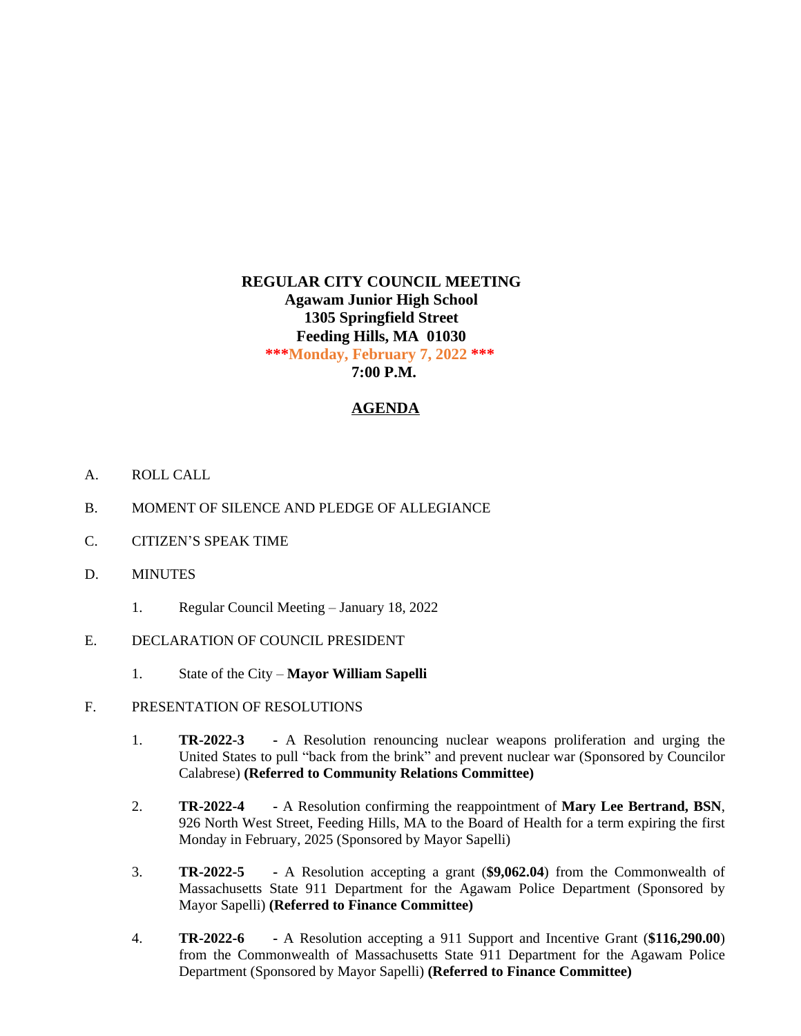# **REGULAR CITY COUNCIL MEETING Agawam Junior High School 1305 Springfield Street Feeding Hills, MA 01030 \*\*\*Monday, February 7, 2022 \*\*\* 7:00 P.M.**

# **AGENDA**

- A. ROLL CALL
- B. MOMENT OF SILENCE AND PLEDGE OF ALLEGIANCE
- C. CITIZEN'S SPEAK TIME
- D. MINUTES
	- 1. Regular Council Meeting January 18, 2022
- E. DECLARATION OF COUNCIL PRESIDENT
	- 1. State of the City **Mayor William Sapelli**
- F. PRESENTATION OF RESOLUTIONS
	- 1. **TR-2022-3 -** A Resolution renouncing nuclear weapons proliferation and urging the United States to pull "back from the brink" and prevent nuclear war (Sponsored by Councilor Calabrese) **(Referred to Community Relations Committee)**
	- 2. **TR-2022-4 -** A Resolution confirming the reappointment of **Mary Lee Bertrand, BSN**, 926 North West Street, Feeding Hills, MA to the Board of Health for a term expiring the first Monday in February, 2025 (Sponsored by Mayor Sapelli)
	- 3. **TR-2022-5 -** A Resolution accepting a grant (**\$9,062.04**) from the Commonwealth of Massachusetts State 911 Department for the Agawam Police Department (Sponsored by Mayor Sapelli) **(Referred to Finance Committee)**
	- 4. **TR-2022-6 -** A Resolution accepting a 911 Support and Incentive Grant (**\$116,290.00**) from the Commonwealth of Massachusetts State 911 Department for the Agawam Police Department (Sponsored by Mayor Sapelli) **(Referred to Finance Committee)**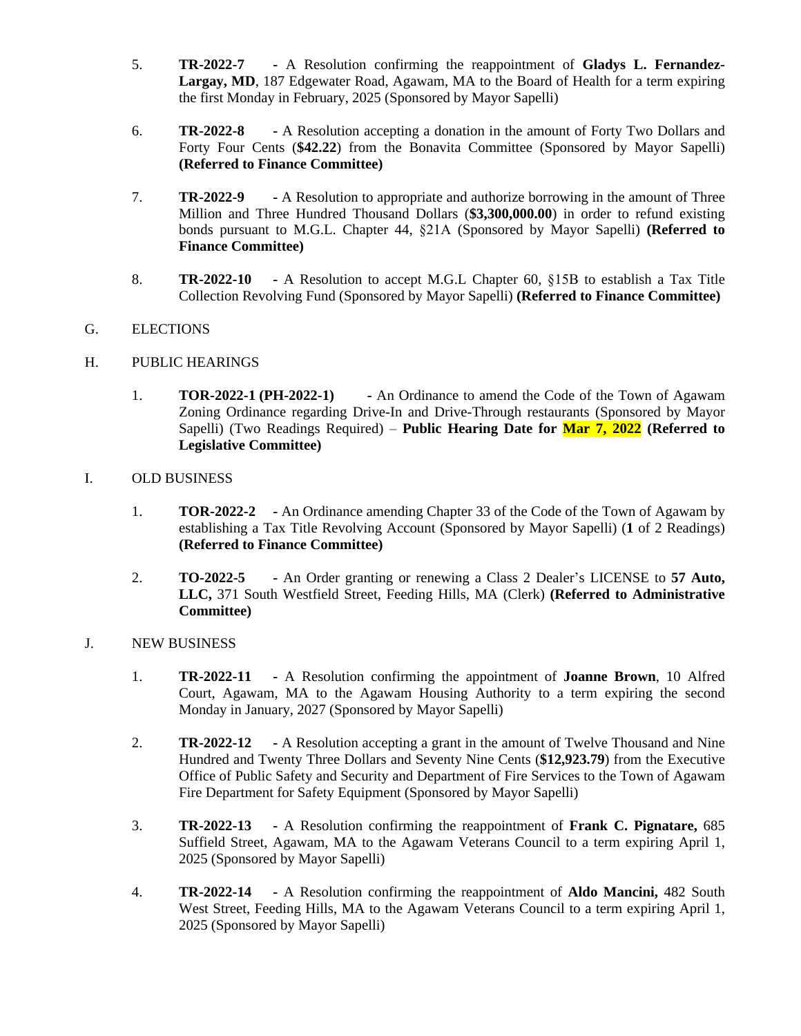- 5. **TR-2022-7 -** A Resolution confirming the reappointment of **Gladys L. Fernandez-Largay, MD**, 187 Edgewater Road, Agawam, MA to the Board of Health for a term expiring the first Monday in February, 2025 (Sponsored by Mayor Sapelli)
- 6. **TR-2022-8 -** A Resolution accepting a donation in the amount of Forty Two Dollars and Forty Four Cents (**\$42.22**) from the Bonavita Committee (Sponsored by Mayor Sapelli) **(Referred to Finance Committee)**
- 7. **TR-2022-9 -** A Resolution to appropriate and authorize borrowing in the amount of Three Million and Three Hundred Thousand Dollars (**\$3,300,000.00**) in order to refund existing bonds pursuant to M.G.L. Chapter 44, §21A (Sponsored by Mayor Sapelli) **(Referred to Finance Committee)**
- 8. **TR-2022-10 -** A Resolution to accept M.G.L Chapter 60, §15B to establish a Tax Title Collection Revolving Fund (Sponsored by Mayor Sapelli) **(Referred to Finance Committee)**

# G. ELECTIONS

### H. PUBLIC HEARINGS

1. **TOR-2022-1 (PH-2022-1) -** An Ordinance to amend the Code of the Town of Agawam Zoning Ordinance regarding Drive-In and Drive-Through restaurants (Sponsored by Mayor Sapelli) (Two Readings Required) – **Public Hearing Date for Mar 7, 2022 (Referred to Legislative Committee)**

### I. OLD BUSINESS

- 1. **TOR-2022-2 -** An Ordinance amending Chapter 33 of the Code of the Town of Agawam by establishing a Tax Title Revolving Account (Sponsored by Mayor Sapelli) (**1** of 2 Readings) **(Referred to Finance Committee)**
- 2. **TO-2022-5 -** An Order granting or renewing a Class 2 Dealer's LICENSE to **57 Auto, LLC,** 371 South Westfield Street, Feeding Hills, MA (Clerk) **(Referred to Administrative Committee)**

### J. NEW BUSINESS

- 1. **TR-2022-11 -** A Resolution confirming the appointment of **Joanne Brown**, 10 Alfred Court, Agawam, MA to the Agawam Housing Authority to a term expiring the second Monday in January, 2027 (Sponsored by Mayor Sapelli)
- 2. **TR-2022-12 -** A Resolution accepting a grant in the amount of Twelve Thousand and Nine Hundred and Twenty Three Dollars and Seventy Nine Cents (**\$12,923.79**) from the Executive Office of Public Safety and Security and Department of Fire Services to the Town of Agawam Fire Department for Safety Equipment (Sponsored by Mayor Sapelli)
- 3. **TR-2022-13 -** A Resolution confirming the reappointment of **Frank C. Pignatare,** 685 Suffield Street, Agawam, MA to the Agawam Veterans Council to a term expiring April 1, 2025 (Sponsored by Mayor Sapelli)
- 4. **TR-2022-14 -** A Resolution confirming the reappointment of **Aldo Mancini,** 482 South West Street, Feeding Hills, MA to the Agawam Veterans Council to a term expiring April 1, 2025 (Sponsored by Mayor Sapelli)